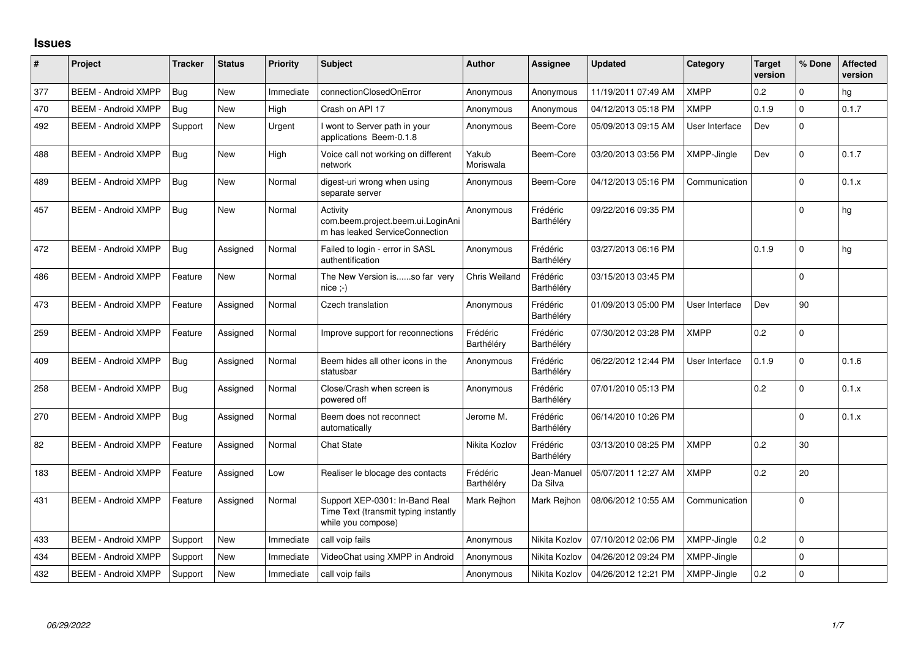## **Issues**

| #   | Project                    | <b>Tracker</b> | <b>Status</b> | <b>Priority</b> | <b>Subject</b>                                                                               | <b>Author</b>          | <b>Assignee</b>         | <b>Updated</b>      | Category           | <b>Target</b><br>version | % Done      | <b>Affected</b><br>version |
|-----|----------------------------|----------------|---------------|-----------------|----------------------------------------------------------------------------------------------|------------------------|-------------------------|---------------------|--------------------|--------------------------|-------------|----------------------------|
| 377 | <b>BEEM - Android XMPP</b> | Bug            | <b>New</b>    | Immediate       | connectionClosedOnError                                                                      | Anonymous              | Anonymous               | 11/19/2011 07:49 AM | <b>XMPP</b>        | 0.2                      | $\mathbf 0$ | hg                         |
| 470 | <b>BEEM - Android XMPP</b> | Bug            | <b>New</b>    | High            | Crash on API 17                                                                              | Anonymous              | Anonymous               | 04/12/2013 05:18 PM | <b>XMPP</b>        | 0.1.9                    | $\Omega$    | 0.1.7                      |
| 492 | <b>BEEM - Android XMPP</b> | Support        | New           | Urgent          | I wont to Server path in your<br>applications Beem-0.1.8                                     | Anonymous              | Beem-Core               | 05/09/2013 09:15 AM | User Interface     | Dev                      | $\Omega$    |                            |
| 488 | <b>BEEM - Android XMPP</b> | Bug            | <b>New</b>    | High            | Voice call not working on different<br>network                                               | Yakub<br>Moriswala     | Beem-Core               | 03/20/2013 03:56 PM | XMPP-Jingle        | Dev                      | $\Omega$    | 0.1.7                      |
| 489 | <b>BEEM - Android XMPP</b> | Bug            | <b>New</b>    | Normal          | digest-uri wrong when using<br>separate server                                               | Anonymous              | Beem-Core               | 04/12/2013 05:16 PM | Communication      |                          | $\Omega$    | 0.1.x                      |
| 457 | <b>BEEM - Android XMPP</b> | Bug            | <b>New</b>    | Normal          | Activity<br>com.beem.project.beem.ui.LoginAni<br>m has leaked ServiceConnection              | Anonymous              | Frédéric<br>Barthéléry  | 09/22/2016 09:35 PM |                    |                          | $\Omega$    | hg                         |
| 472 | <b>BEEM - Android XMPP</b> | Bug            | Assigned      | Normal          | Failed to login - error in SASL<br>authentification                                          | Anonymous              | Frédéric<br>Barthéléry  | 03/27/2013 06:16 PM |                    | 0.1.9                    | $\Omega$    | hg                         |
| 486 | <b>BEEM - Android XMPP</b> | Feature        | <b>New</b>    | Normal          | The New Version isso far very<br>$nice; -)$                                                  | Chris Weiland          | Frédéric<br>Barthéléry  | 03/15/2013 03:45 PM |                    |                          | $\Omega$    |                            |
| 473 | <b>BEEM - Android XMPP</b> | Feature        | Assigned      | Normal          | Czech translation                                                                            | Anonymous              | Frédéric<br>Barthéléry  | 01/09/2013 05:00 PM | User Interface     | Dev                      | 90          |                            |
| 259 | <b>BEEM - Android XMPP</b> | Feature        | Assigned      | Normal          | Improve support for reconnections                                                            | Frédéric<br>Barthéléry | Frédéric<br>Barthéléry  | 07/30/2012 03:28 PM | <b>XMPP</b>        | 0.2                      | $\mathbf 0$ |                            |
| 409 | <b>BEEM - Android XMPP</b> | Bug            | Assigned      | Normal          | Beem hides all other icons in the<br>statusbar                                               | Anonymous              | Frédéric<br>Barthéléry  | 06/22/2012 12:44 PM | User Interface     | 0.1.9                    | $\Omega$    | 0.1.6                      |
| 258 | <b>BEEM - Android XMPP</b> | Bug            | Assigned      | Normal          | Close/Crash when screen is<br>powered off                                                    | Anonymous              | Frédéric<br>Barthéléry  | 07/01/2010 05:13 PM |                    | 0.2                      | $\Omega$    | 0.1.x                      |
| 270 | <b>BEEM - Android XMPP</b> | Bug            | Assigned      | Normal          | Beem does not reconnect<br>automatically                                                     | Jerome M.              | Frédéric<br>Barthéléry  | 06/14/2010 10:26 PM |                    |                          | $\Omega$    | 0.1.x                      |
| 82  | <b>BEEM - Android XMPP</b> | Feature        | Assigned      | Normal          | <b>Chat State</b>                                                                            | Nikita Kozlov          | Frédéric<br>Barthéléry  | 03/13/2010 08:25 PM | <b>XMPP</b>        | 0.2                      | 30          |                            |
| 183 | <b>BEEM - Android XMPP</b> | Feature        | Assigned      | Low             | Realiser le blocage des contacts                                                             | Frédéric<br>Barthéléry | Jean-Manuel<br>Da Silva | 05/07/2011 12:27 AM | <b>XMPP</b>        | 0.2                      | 20          |                            |
| 431 | <b>BEEM - Android XMPP</b> | Feature        | Assigned      | Normal          | Support XEP-0301: In-Band Real<br>Time Text (transmit typing instantly<br>while you compose) | Mark Reihon            | Mark Rejhon             | 08/06/2012 10:55 AM | Communication      |                          | $\Omega$    |                            |
| 433 | <b>BEEM - Android XMPP</b> | Support        | <b>New</b>    | Immediate       | call voip fails                                                                              | Anonymous              | Nikita Kozlov           | 07/10/2012 02:06 PM | <b>XMPP-Jingle</b> | 0.2                      | $\mathbf 0$ |                            |
| 434 | <b>BEEM - Android XMPP</b> | Support        | <b>New</b>    | Immediate       | VideoChat using XMPP in Android                                                              | Anonymous              | Nikita Kozlov           | 04/26/2012 09:24 PM | XMPP-Jingle        |                          | $\mathbf 0$ |                            |
| 432 | <b>BEEM - Android XMPP</b> | Support        | New           | Immediate       | call voip fails                                                                              | Anonymous              | Nikita Kozlov           | 04/26/2012 12:21 PM | XMPP-Jingle        | 0.2                      | $\mathbf 0$ |                            |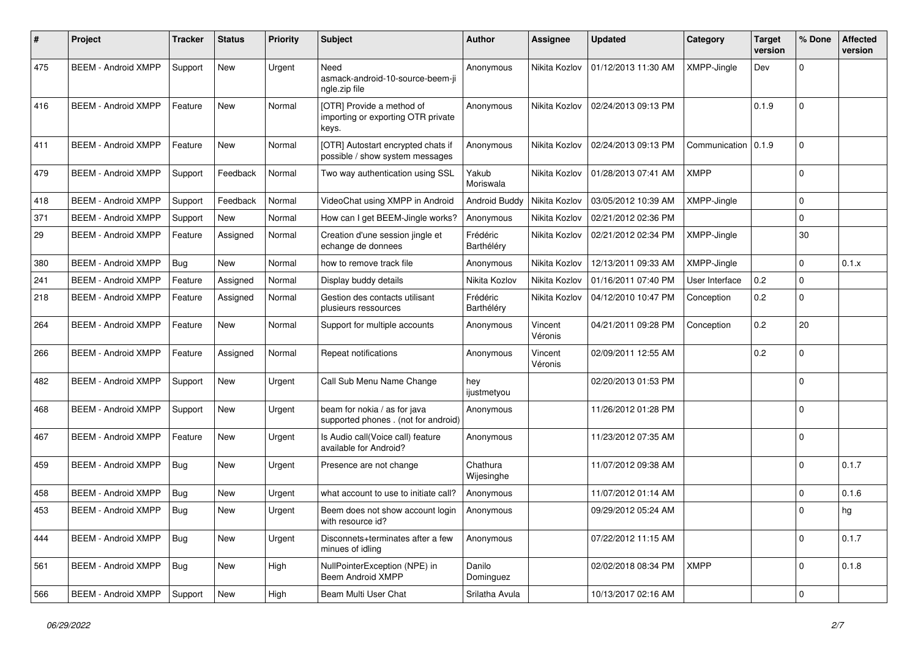| #   | Project                    | <b>Tracker</b> | <b>Status</b> | <b>Priority</b> | <b>Subject</b>                                                           | <b>Author</b>          | Assignee           | <b>Updated</b>      | Category              | <b>Target</b><br>version | % Done      | <b>Affected</b><br>version |
|-----|----------------------------|----------------|---------------|-----------------|--------------------------------------------------------------------------|------------------------|--------------------|---------------------|-----------------------|--------------------------|-------------|----------------------------|
| 475 | <b>BEEM - Android XMPP</b> | Support        | <b>New</b>    | Urgent          | Need<br>asmack-android-10-source-beem-ji<br>ngle.zip file                | Anonymous              | Nikita Kozlov      | 01/12/2013 11:30 AM | XMPP-Jingle           | Dev                      | $\Omega$    |                            |
| 416 | <b>BEEM - Android XMPP</b> | Feature        | New           | Normal          | [OTR] Provide a method of<br>importing or exporting OTR private<br>keys. | Anonymous              | Nikita Kozlov      | 02/24/2013 09:13 PM |                       | 0.1.9                    | $\Omega$    |                            |
| 411 | <b>BEEM - Android XMPP</b> | Feature        | New           | Normal          | [OTR] Autostart encrypted chats if<br>possible / show system messages    | Anonymous              | Nikita Kozlov      | 02/24/2013 09:13 PM | Communication   0.1.9 |                          | $\Omega$    |                            |
| 479 | <b>BEEM - Android XMPP</b> | Support        | Feedback      | Normal          | Two way authentication using SSL                                         | Yakub<br>Moriswala     | Nikita Kozlov      | 01/28/2013 07:41 AM | <b>XMPP</b>           |                          | $\Omega$    |                            |
| 418 | <b>BEEM - Android XMPP</b> | Support        | Feedback      | Normal          | VideoChat using XMPP in Android                                          | Android Buddy          | Nikita Kozlov      | 03/05/2012 10:39 AM | XMPP-Jingle           |                          | $\mathbf 0$ |                            |
| 371 | <b>BEEM - Android XMPP</b> | Support        | <b>New</b>    | Normal          | How can I get BEEM-Jingle works?                                         | Anonymous              | Nikita Kozlov      | 02/21/2012 02:36 PM |                       |                          | $\Omega$    |                            |
| 29  | <b>BEEM - Android XMPP</b> | Feature        | Assigned      | Normal          | Creation d'une session jingle et<br>echange de donnees                   | Frédéric<br>Barthéléry | Nikita Kozlov      | 02/21/2012 02:34 PM | XMPP-Jingle           |                          | 30          |                            |
| 380 | <b>BEEM - Android XMPP</b> | <b>Bug</b>     | New           | Normal          | how to remove track file                                                 | Anonymous              | Nikita Kozlov      | 12/13/2011 09:33 AM | XMPP-Jingle           |                          | $\Omega$    | 0.1.x                      |
| 241 | <b>BEEM - Android XMPP</b> | Feature        | Assigned      | Normal          | Display buddy details                                                    | Nikita Kozlov          | Nikita Kozlov      | 01/16/2011 07:40 PM | User Interface        | 0.2                      | $\Omega$    |                            |
| 218 | <b>BEEM - Android XMPP</b> | Feature        | Assigned      | Normal          | Gestion des contacts utilisant<br>plusieurs ressources                   | Frédéric<br>Barthéléry | Nikita Kozlov      | 04/12/2010 10:47 PM | Conception            | 0.2                      | $\Omega$    |                            |
| 264 | <b>BEEM - Android XMPP</b> | Feature        | <b>New</b>    | Normal          | Support for multiple accounts                                            | Anonymous              | Vincent<br>Véronis | 04/21/2011 09:28 PM | Conception            | 0.2                      | 20          |                            |
| 266 | <b>BEEM - Android XMPP</b> | Feature        | Assigned      | Normal          | Repeat notifications                                                     | Anonymous              | Vincent<br>Véronis | 02/09/2011 12:55 AM |                       | 0.2                      | $\Omega$    |                            |
| 482 | <b>BEEM - Android XMPP</b> | Support        | <b>New</b>    | Urgent          | Call Sub Menu Name Change                                                | hey<br>ijustmetyou     |                    | 02/20/2013 01:53 PM |                       |                          | $\Omega$    |                            |
| 468 | <b>BEEM - Android XMPP</b> | Support        | New           | Urgent          | beam for nokia / as for java<br>supported phones . (not for android)     | Anonymous              |                    | 11/26/2012 01:28 PM |                       |                          | $\Omega$    |                            |
| 467 | <b>BEEM - Android XMPP</b> | Feature        | <b>New</b>    | Urgent          | Is Audio call(Voice call) feature<br>available for Android?              | Anonymous              |                    | 11/23/2012 07:35 AM |                       |                          | $\Omega$    |                            |
| 459 | <b>BEEM - Android XMPP</b> | Bug            | <b>New</b>    | Urgent          | Presence are not change                                                  | Chathura<br>Wijesinghe |                    | 11/07/2012 09:38 AM |                       |                          | $\Omega$    | 0.1.7                      |
| 458 | <b>BEEM - Android XMPP</b> | Bug            | <b>New</b>    | Urgent          | what account to use to initiate call?                                    | Anonymous              |                    | 11/07/2012 01:14 AM |                       |                          | $\Omega$    | 0.1.6                      |
| 453 | <b>BEEM - Android XMPP</b> | <b>Bug</b>     | <b>New</b>    | Urgent          | Beem does not show account login<br>with resource id?                    | Anonymous              |                    | 09/29/2012 05:24 AM |                       |                          | $\Omega$    | hg                         |
| 444 | <b>BEEM - Android XMPP</b> | Bug            | New           | Urgent          | Disconnets+terminates after a few<br>minues of idling                    | Anonymous              |                    | 07/22/2012 11:15 AM |                       |                          | $\Omega$    | 0.1.7                      |
| 561 | <b>BEEM - Android XMPP</b> | Bug            | New           | High            | NullPointerException (NPE) in<br>Beem Android XMPP                       | Danilo<br>Dominguez    |                    | 02/02/2018 08:34 PM | <b>XMPP</b>           |                          | $\Omega$    | 0.1.8                      |
| 566 | <b>BEEM - Android XMPP</b> | Support        | New           | High            | Beam Multi User Chat                                                     | Srilatha Avula         |                    | 10/13/2017 02:16 AM |                       |                          | $\mathbf 0$ |                            |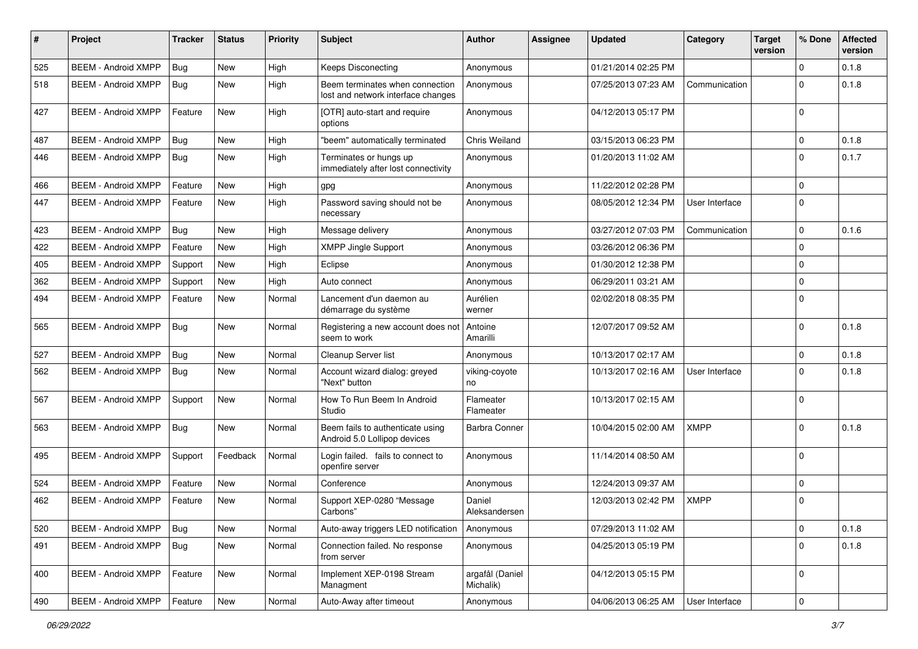| #   | Project                    | <b>Tracker</b> | <b>Status</b> | <b>Priority</b> | Subject                                                               | <b>Author</b>                | Assignee | <b>Updated</b>      | Category       | <b>Target</b><br>version | % Done      | <b>Affected</b><br>version |
|-----|----------------------------|----------------|---------------|-----------------|-----------------------------------------------------------------------|------------------------------|----------|---------------------|----------------|--------------------------|-------------|----------------------------|
| 525 | <b>BEEM - Android XMPP</b> | Bug            | <b>New</b>    | High            | <b>Keeps Disconecting</b>                                             | Anonymous                    |          | 01/21/2014 02:25 PM |                |                          | $\Omega$    | 0.1.8                      |
| 518 | <b>BEEM - Android XMPP</b> | <b>Bug</b>     | New           | High            | Beem terminates when connection<br>lost and network interface changes | Anonymous                    |          | 07/25/2013 07:23 AM | Communication  |                          | $\Omega$    | 0.1.8                      |
| 427 | <b>BEEM - Android XMPP</b> | Feature        | <b>New</b>    | High            | [OTR] auto-start and require<br>options                               | Anonymous                    |          | 04/12/2013 05:17 PM |                |                          | $\Omega$    |                            |
| 487 | <b>BEEM - Android XMPP</b> | Bug            | New           | High            | "beem" automatically terminated                                       | <b>Chris Weiland</b>         |          | 03/15/2013 06:23 PM |                |                          | $\Omega$    | 0.1.8                      |
| 446 | <b>BEEM - Android XMPP</b> | <b>Bug</b>     | New           | High            | Terminates or hungs up<br>immediately after lost connectivity         | Anonymous                    |          | 01/20/2013 11:02 AM |                |                          | $\Omega$    | 0.1.7                      |
| 466 | <b>BEEM - Android XMPP</b> | Feature        | <b>New</b>    | High            | gpg                                                                   | Anonymous                    |          | 11/22/2012 02:28 PM |                |                          | $\Omega$    |                            |
| 447 | <b>BEEM - Android XMPP</b> | Feature        | New           | High            | Password saving should not be<br>necessary                            | Anonymous                    |          | 08/05/2012 12:34 PM | User Interface |                          | $\mathbf 0$ |                            |
| 423 | <b>BEEM - Android XMPP</b> | Bug            | <b>New</b>    | High            | Message delivery                                                      | Anonymous                    |          | 03/27/2012 07:03 PM | Communication  |                          | $\mathbf 0$ | 0.1.6                      |
| 422 | <b>BEEM - Android XMPP</b> | Feature        | <b>New</b>    | High            | <b>XMPP Jingle Support</b>                                            | Anonymous                    |          | 03/26/2012 06:36 PM |                |                          | $\Omega$    |                            |
| 405 | <b>BEEM - Android XMPP</b> | Support        | New           | High            | Eclipse                                                               | Anonymous                    |          | 01/30/2012 12:38 PM |                |                          | $\Omega$    |                            |
| 362 | <b>BEEM - Android XMPP</b> | Support        | <b>New</b>    | High            | Auto connect                                                          | Anonymous                    |          | 06/29/2011 03:21 AM |                |                          | $\mathbf 0$ |                            |
| 494 | <b>BEEM - Android XMPP</b> | Feature        | New           | Normal          | Lancement d'un daemon au<br>démarrage du système                      | Aurélien<br>werner           |          | 02/02/2018 08:35 PM |                |                          | $\Omega$    |                            |
| 565 | <b>BEEM - Android XMPP</b> | Bug            | New           | Normal          | Registering a new account does not<br>seem to work                    | Antoine<br>Amarilli          |          | 12/07/2017 09:52 AM |                |                          | $\Omega$    | 0.1.8                      |
| 527 | <b>BEEM - Android XMPP</b> | Bug            | <b>New</b>    | Normal          | Cleanup Server list                                                   | Anonymous                    |          | 10/13/2017 02:17 AM |                |                          | $\Omega$    | 0.1.8                      |
| 562 | <b>BEEM - Android XMPP</b> | <b>Bug</b>     | New           | Normal          | Account wizard dialog: greyed<br>"Next" button                        | viking-coyote<br>no          |          | 10/13/2017 02:16 AM | User Interface |                          | $\Omega$    | 0.1.8                      |
| 567 | <b>BEEM - Android XMPP</b> | Support        | <b>New</b>    | Normal          | How To Run Beem In Android<br>Studio                                  | Flameater<br>Flameater       |          | 10/13/2017 02:15 AM |                |                          | $\Omega$    |                            |
| 563 | <b>BEEM - Android XMPP</b> | Bug            | <b>New</b>    | Normal          | Beem fails to authenticate using<br>Android 5.0 Lollipop devices      | <b>Barbra Conner</b>         |          | 10/04/2015 02:00 AM | <b>XMPP</b>    |                          | $\Omega$    | 0.1.8                      |
| 495 | <b>BEEM - Android XMPP</b> | Support        | Feedback      | Normal          | Login failed. fails to connect to<br>openfire server                  | Anonymous                    |          | 11/14/2014 08:50 AM |                |                          | $\Omega$    |                            |
| 524 | <b>BEEM - Android XMPP</b> | Feature        | <b>New</b>    | Normal          | Conference                                                            | Anonymous                    |          | 12/24/2013 09:37 AM |                |                          | $\mathbf 0$ |                            |
| 462 | <b>BEEM - Android XMPP</b> | Feature        | New           | Normal          | Support XEP-0280 "Message<br>Carbons"                                 | Daniel<br>Aleksandersen      |          | 12/03/2013 02:42 PM | <b>XMPP</b>    |                          | $\mathbf 0$ |                            |
| 520 | <b>BEEM - Android XMPP</b> | Bug            | New           | Normal          | Auto-away triggers LED notification                                   | Anonymous                    |          | 07/29/2013 11:02 AM |                |                          | $\mathbf 0$ | 0.1.8                      |
| 491 | <b>BEEM - Android XMPP</b> | Bug            | <b>New</b>    | Normal          | Connection failed. No response<br>from server                         | Anonymous                    |          | 04/25/2013 05:19 PM |                |                          | $\mathbf 0$ | 0.1.8                      |
| 400 | <b>BEEM - Android XMPP</b> | Feature        | New           | Normal          | Implement XEP-0198 Stream<br>Managment                                | argafål (Daniel<br>Michalik) |          | 04/12/2013 05:15 PM |                |                          | $\mathbf 0$ |                            |
| 490 | <b>BEEM - Android XMPP</b> | Feature        | New           | Normal          | Auto-Away after timeout                                               | Anonymous                    |          | 04/06/2013 06:25 AM | User Interface |                          | 0           |                            |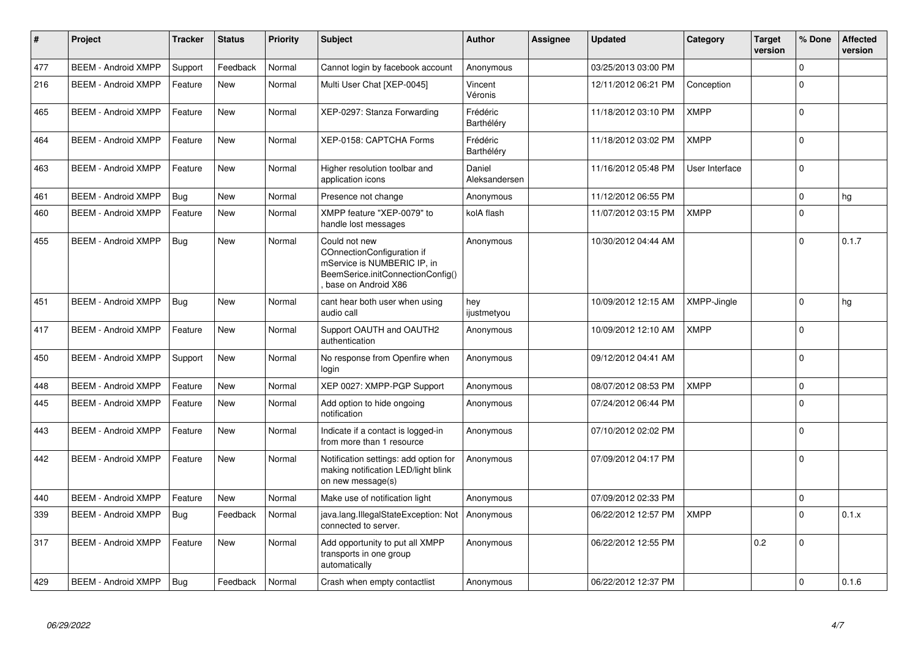| #   | Project                    | <b>Tracker</b> | <b>Status</b> | <b>Priority</b> | <b>Subject</b>                                                                                                                         | <b>Author</b>           | <b>Assignee</b> | <b>Updated</b>      | Category       | <b>Target</b><br>version | % Done      | <b>Affected</b><br>version |
|-----|----------------------------|----------------|---------------|-----------------|----------------------------------------------------------------------------------------------------------------------------------------|-------------------------|-----------------|---------------------|----------------|--------------------------|-------------|----------------------------|
| 477 | <b>BEEM - Android XMPP</b> | Support        | Feedback      | Normal          | Cannot login by facebook account                                                                                                       | Anonymous               |                 | 03/25/2013 03:00 PM |                |                          | $\mathbf 0$ |                            |
| 216 | <b>BEEM - Android XMPP</b> | Feature        | New           | Normal          | Multi User Chat [XEP-0045]                                                                                                             | Vincent<br>Véronis      |                 | 12/11/2012 06:21 PM | Conception     |                          | $\Omega$    |                            |
| 465 | <b>BEEM - Android XMPP</b> | Feature        | <b>New</b>    | Normal          | XEP-0297: Stanza Forwarding                                                                                                            | Frédéric<br>Barthéléry  |                 | 11/18/2012 03:10 PM | <b>XMPP</b>    |                          | $\Omega$    |                            |
| 464 | <b>BEEM - Android XMPP</b> | Feature        | New           | Normal          | XEP-0158: CAPTCHA Forms                                                                                                                | Frédéric<br>Barthéléry  |                 | 11/18/2012 03:02 PM | <b>XMPP</b>    |                          | $\mathbf 0$ |                            |
| 463 | <b>BEEM - Android XMPP</b> | Feature        | <b>New</b>    | Normal          | Higher resolution toolbar and<br>application icons                                                                                     | Daniel<br>Aleksandersen |                 | 11/16/2012 05:48 PM | User Interface |                          | $\Omega$    |                            |
| 461 | <b>BEEM - Android XMPP</b> | Bug            | New           | Normal          | Presence not change                                                                                                                    | Anonymous               |                 | 11/12/2012 06:55 PM |                |                          | $\mathbf 0$ | hg                         |
| 460 | <b>BEEM - Android XMPP</b> | Feature        | New           | Normal          | XMPP feature "XEP-0079" to<br>handle lost messages                                                                                     | kolA flash              |                 | 11/07/2012 03:15 PM | <b>XMPP</b>    |                          | $\Omega$    |                            |
| 455 | <b>BEEM - Android XMPP</b> | Bug            | New           | Normal          | Could not new<br>COnnectionConfiguration if<br>mService is NUMBERIC IP, in<br>BeemSerice.initConnectionConfig()<br>base on Android X86 | Anonymous               |                 | 10/30/2012 04:44 AM |                |                          | $\Omega$    | 0.1.7                      |
| 451 | <b>BEEM - Android XMPP</b> | Bug            | New           | Normal          | cant hear both user when using<br>audio call                                                                                           | hey<br>ijustmetyou      |                 | 10/09/2012 12:15 AM | XMPP-Jingle    |                          | $\mathbf 0$ | hg                         |
| 417 | <b>BEEM - Android XMPP</b> | Feature        | <b>New</b>    | Normal          | Support OAUTH and OAUTH2<br>authentication                                                                                             | Anonymous               |                 | 10/09/2012 12:10 AM | <b>XMPP</b>    |                          | $\Omega$    |                            |
| 450 | <b>BEEM - Android XMPP</b> | Support        | New           | Normal          | No response from Openfire when<br>login                                                                                                | Anonymous               |                 | 09/12/2012 04:41 AM |                |                          | $\Omega$    |                            |
| 448 | <b>BEEM - Android XMPP</b> | Feature        | New           | Normal          | XEP 0027: XMPP-PGP Support                                                                                                             | Anonymous               |                 | 08/07/2012 08:53 PM | <b>XMPP</b>    |                          | $\Omega$    |                            |
| 445 | <b>BEEM - Android XMPP</b> | Feature        | New           | Normal          | Add option to hide ongoing<br>notification                                                                                             | Anonymous               |                 | 07/24/2012 06:44 PM |                |                          | $\Omega$    |                            |
| 443 | <b>BEEM - Android XMPP</b> | Feature        | <b>New</b>    | Normal          | Indicate if a contact is logged-in<br>from more than 1 resource                                                                        | Anonymous               |                 | 07/10/2012 02:02 PM |                |                          | $\Omega$    |                            |
| 442 | <b>BEEM - Android XMPP</b> | Feature        | <b>New</b>    | Normal          | Notification settings: add option for<br>making notification LED/light blink<br>on new message(s)                                      | Anonymous               |                 | 07/09/2012 04:17 PM |                |                          | $\Omega$    |                            |
| 440 | <b>BEEM - Android XMPP</b> | Feature        | <b>New</b>    | Normal          | Make use of notification light                                                                                                         | Anonymous               |                 | 07/09/2012 02:33 PM |                |                          | $\mathbf 0$ |                            |
| 339 | <b>BEEM - Android XMPP</b> | Bug            | Feedback      | Normal          | java.lang.IllegalStateException: Not<br>connected to server.                                                                           | Anonymous               |                 | 06/22/2012 12:57 PM | <b>XMPP</b>    |                          | $\Omega$    | 0.1.x                      |
| 317 | <b>BEEM - Android XMPP</b> | Feature        | New           | Normal          | Add opportunity to put all XMPP<br>transports in one group<br>automatically                                                            | Anonymous               |                 | 06/22/2012 12:55 PM |                | 0.2                      | $\Omega$    |                            |
| 429 | <b>BEEM - Android XMPP</b> | Bug            | Feedback      | Normal          | Crash when empty contactlist                                                                                                           | Anonymous               |                 | 06/22/2012 12:37 PM |                |                          | $\Omega$    | 0.1.6                      |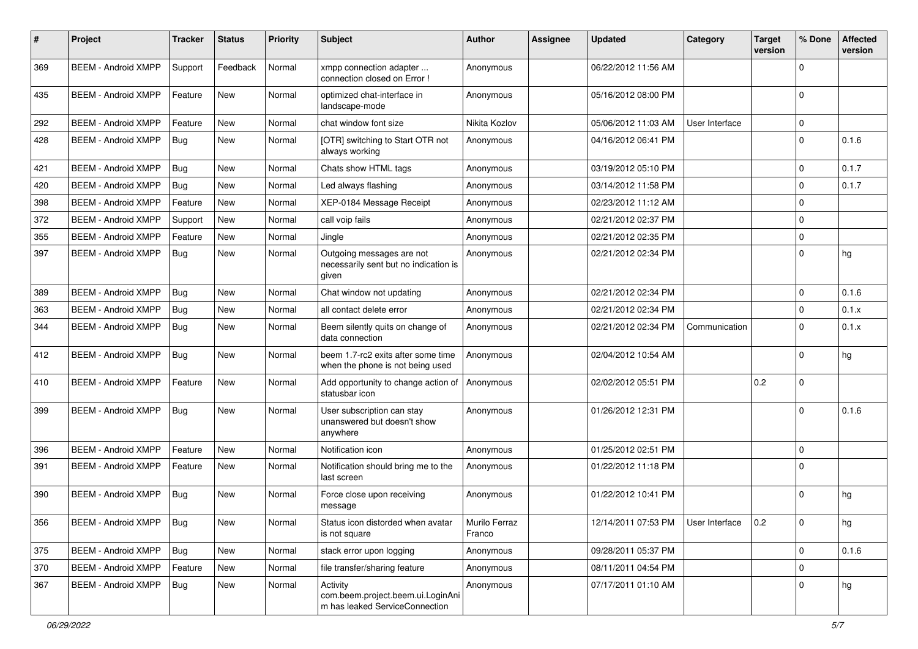| #   | Project                    | <b>Tracker</b> | <b>Status</b> | <b>Priority</b> | Subject                                                                         | <b>Author</b>           | Assignee | <b>Updated</b>      | Category       | <b>Target</b><br>version | % Done      | <b>Affected</b><br>version |
|-----|----------------------------|----------------|---------------|-----------------|---------------------------------------------------------------------------------|-------------------------|----------|---------------------|----------------|--------------------------|-------------|----------------------------|
| 369 | <b>BEEM - Android XMPP</b> | Support        | Feedback      | Normal          | xmpp connection adapter<br>connection closed on Error !                         | Anonymous               |          | 06/22/2012 11:56 AM |                |                          | $\Omega$    |                            |
| 435 | <b>BEEM - Android XMPP</b> | Feature        | <b>New</b>    | Normal          | optimized chat-interface in<br>landscape-mode                                   | Anonymous               |          | 05/16/2012 08:00 PM |                |                          | $\Omega$    |                            |
| 292 | <b>BEEM - Android XMPP</b> | Feature        | <b>New</b>    | Normal          | chat window font size                                                           | Nikita Kozlov           |          | 05/06/2012 11:03 AM | User Interface |                          | $\mathbf 0$ |                            |
| 428 | <b>BEEM - Android XMPP</b> | Bug            | New           | Normal          | [OTR] switching to Start OTR not<br>always working                              | Anonymous               |          | 04/16/2012 06:41 PM |                |                          | $\Omega$    | 0.1.6                      |
| 421 | <b>BEEM - Android XMPP</b> | Bug            | <b>New</b>    | Normal          | Chats show HTML tags                                                            | Anonymous               |          | 03/19/2012 05:10 PM |                |                          | $\Omega$    | 0.1.7                      |
| 420 | <b>BEEM - Android XMPP</b> | Bug            | <b>New</b>    | Normal          | Led always flashing                                                             | Anonymous               |          | 03/14/2012 11:58 PM |                |                          | $\Omega$    | 0.1.7                      |
| 398 | <b>BEEM - Android XMPP</b> | Feature        | <b>New</b>    | Normal          | XEP-0184 Message Receipt                                                        | Anonymous               |          | 02/23/2012 11:12 AM |                |                          | $\mathbf 0$ |                            |
| 372 | <b>BEEM - Android XMPP</b> | Support        | <b>New</b>    | Normal          | call voip fails                                                                 | Anonymous               |          | 02/21/2012 02:37 PM |                |                          | $\mathbf 0$ |                            |
| 355 | <b>BEEM - Android XMPP</b> | Feature        | New           | Normal          | Jingle                                                                          | Anonymous               |          | 02/21/2012 02:35 PM |                |                          | $\mathbf 0$ |                            |
| 397 | <b>BEEM - Android XMPP</b> | <b>Bug</b>     | <b>New</b>    | Normal          | Outgoing messages are not<br>necessarily sent but no indication is<br>given     | Anonymous               |          | 02/21/2012 02:34 PM |                |                          | $\Omega$    | hg                         |
| 389 | <b>BEEM - Android XMPP</b> | Bug            | <b>New</b>    | Normal          | Chat window not updating                                                        | Anonymous               |          | 02/21/2012 02:34 PM |                |                          | 0           | 0.1.6                      |
| 363 | <b>BEEM - Android XMPP</b> | Bug            | <b>New</b>    | Normal          | all contact delete error                                                        | Anonymous               |          | 02/21/2012 02:34 PM |                |                          | $\Omega$    | 0.1.x                      |
| 344 | <b>BEEM - Android XMPP</b> | <b>Bug</b>     | <b>New</b>    | Normal          | Beem silently quits on change of<br>data connection                             | Anonymous               |          | 02/21/2012 02:34 PM | Communication  |                          | $\Omega$    | 0.1.x                      |
| 412 | <b>BEEM - Android XMPP</b> | <b>Bug</b>     | <b>New</b>    | Normal          | beem 1.7-rc2 exits after some time<br>when the phone is not being used          | Anonymous               |          | 02/04/2012 10:54 AM |                |                          | $\Omega$    | hg                         |
| 410 | <b>BEEM - Android XMPP</b> | Feature        | <b>New</b>    | Normal          | Add opportunity to change action of<br>statusbar icon                           | Anonymous               |          | 02/02/2012 05:51 PM |                | 0.2                      | $\mathbf 0$ |                            |
| 399 | <b>BEEM - Android XMPP</b> | <b>Bug</b>     | <b>New</b>    | Normal          | User subscription can stay<br>unanswered but doesn't show<br>anywhere           | Anonymous               |          | 01/26/2012 12:31 PM |                |                          | $\Omega$    | 0.1.6                      |
| 396 | <b>BEEM - Android XMPP</b> | Feature        | <b>New</b>    | Normal          | Notification icon                                                               | Anonymous               |          | 01/25/2012 02:51 PM |                |                          | $\mathbf 0$ |                            |
| 391 | <b>BEEM - Android XMPP</b> | Feature        | <b>New</b>    | Normal          | Notification should bring me to the<br>last screen                              | Anonymous               |          | 01/22/2012 11:18 PM |                |                          | $\Omega$    |                            |
| 390 | <b>BEEM - Android XMPP</b> | Bug            | New           | Normal          | Force close upon receiving<br>message                                           | Anonymous               |          | 01/22/2012 10:41 PM |                |                          | $\Omega$    | hg                         |
| 356 | BEEM - Android XMPP   Bug  |                | New           | Normal          | Status icon distorded when avatar<br>is not square                              | Murilo Ferraz<br>Franco |          | 12/14/2011 07:53 PM | User Interface | 0.2                      | 0           | hg                         |
| 375 | <b>BEEM - Android XMPP</b> | Bug            | New           | Normal          | stack error upon logging                                                        | Anonymous               |          | 09/28/2011 05:37 PM |                |                          | $\mathbf 0$ | 0.1.6                      |
| 370 | <b>BEEM - Android XMPP</b> | Feature        | New           | Normal          | file transfer/sharing feature                                                   | Anonymous               |          | 08/11/2011 04:54 PM |                |                          | $\mathbf 0$ |                            |
| 367 | <b>BEEM - Android XMPP</b> | Bug            | New           | Normal          | Activity<br>com.beem.project.beem.ui.LoginAni<br>m has leaked ServiceConnection | Anonymous               |          | 07/17/2011 01:10 AM |                |                          | $\mathbf 0$ | hg                         |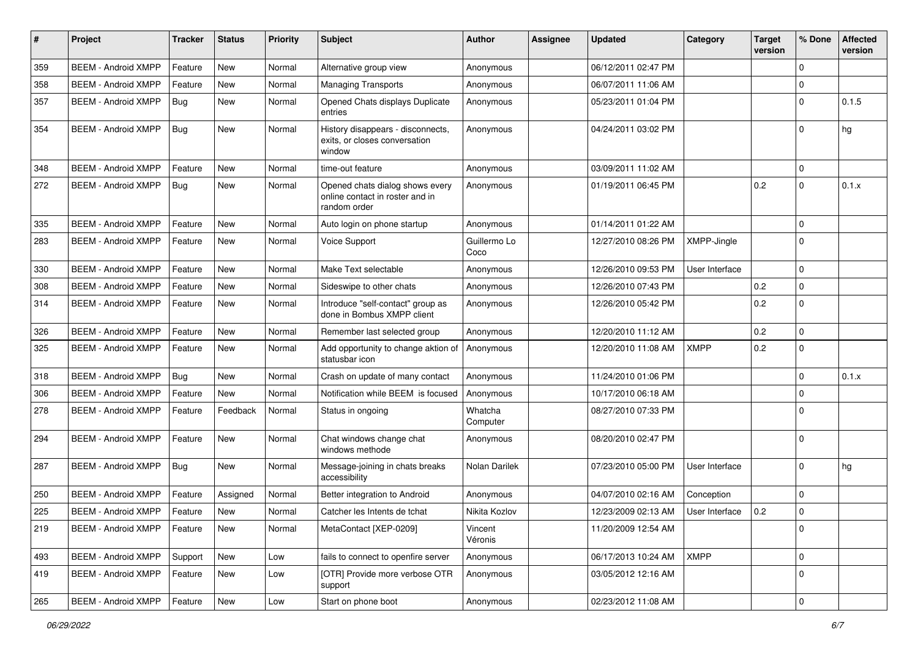| #   | Project                    | <b>Tracker</b> | <b>Status</b> | <b>Priority</b> | Subject                                                                            | <b>Author</b>        | <b>Assignee</b> | <b>Updated</b>      | Category       | <b>Target</b><br>version | % Done      | <b>Affected</b><br>version |
|-----|----------------------------|----------------|---------------|-----------------|------------------------------------------------------------------------------------|----------------------|-----------------|---------------------|----------------|--------------------------|-------------|----------------------------|
| 359 | <b>BEEM - Android XMPP</b> | Feature        | <b>New</b>    | Normal          | Alternative group view                                                             | Anonymous            |                 | 06/12/2011 02:47 PM |                |                          | $\mathbf 0$ |                            |
| 358 | <b>BEEM - Android XMPP</b> | Feature        | New           | Normal          | <b>Managing Transports</b>                                                         | Anonymous            |                 | 06/07/2011 11:06 AM |                |                          | $\mathbf 0$ |                            |
| 357 | <b>BEEM - Android XMPP</b> | <b>Bug</b>     | New           | Normal          | Opened Chats displays Duplicate<br>entries                                         | Anonymous            |                 | 05/23/2011 01:04 PM |                |                          | $\Omega$    | 0.1.5                      |
| 354 | <b>BEEM - Android XMPP</b> | Bug            | <b>New</b>    | Normal          | History disappears - disconnects,<br>exits, or closes conversation<br>window       | Anonymous            |                 | 04/24/2011 03:02 PM |                |                          | $\Omega$    | hg                         |
| 348 | <b>BEEM - Android XMPP</b> | Feature        | <b>New</b>    | Normal          | time-out feature                                                                   | Anonymous            |                 | 03/09/2011 11:02 AM |                |                          | $\mathbf 0$ |                            |
| 272 | <b>BEEM - Android XMPP</b> | <b>Bug</b>     | New           | Normal          | Opened chats dialog shows every<br>online contact in roster and in<br>random order | Anonymous            |                 | 01/19/2011 06:45 PM |                | 0.2                      | $\Omega$    | 0.1.x                      |
| 335 | <b>BEEM - Android XMPP</b> | Feature        | <b>New</b>    | Normal          | Auto login on phone startup                                                        | Anonymous            |                 | 01/14/2011 01:22 AM |                |                          | $\mathbf 0$ |                            |
| 283 | <b>BEEM - Android XMPP</b> | Feature        | New           | Normal          | <b>Voice Support</b>                                                               | Guillermo Lo<br>Coco |                 | 12/27/2010 08:26 PM | XMPP-Jingle    |                          | $\Omega$    |                            |
| 330 | <b>BEEM - Android XMPP</b> | Feature        | <b>New</b>    | Normal          | Make Text selectable                                                               | Anonymous            |                 | 12/26/2010 09:53 PM | User Interface |                          | $\mathbf 0$ |                            |
| 308 | <b>BEEM - Android XMPP</b> | Feature        | <b>New</b>    | Normal          | Sideswipe to other chats                                                           | Anonymous            |                 | 12/26/2010 07:43 PM |                | 0.2                      | $\mathbf 0$ |                            |
| 314 | <b>BEEM - Android XMPP</b> | Feature        | New           | Normal          | Introduce "self-contact" group as<br>done in Bombus XMPP client                    | Anonymous            |                 | 12/26/2010 05:42 PM |                | 0.2                      | $\mathbf 0$ |                            |
| 326 | <b>BEEM - Android XMPP</b> | Feature        | <b>New</b>    | Normal          | Remember last selected group                                                       | Anonymous            |                 | 12/20/2010 11:12 AM |                | 0.2                      | $\mathbf 0$ |                            |
| 325 | <b>BEEM - Android XMPP</b> | Feature        | New           | Normal          | Add opportunity to change aktion of<br>statusbar icon                              | Anonymous            |                 | 12/20/2010 11:08 AM | <b>XMPP</b>    | 0.2                      | $\mathbf 0$ |                            |
| 318 | <b>BEEM - Android XMPP</b> | Bug            | New           | Normal          | Crash on update of many contact                                                    | Anonymous            |                 | 11/24/2010 01:06 PM |                |                          | $\Omega$    | 0.1.x                      |
| 306 | <b>BEEM - Android XMPP</b> | Feature        | <b>New</b>    | Normal          | Notification while BEEM is focused                                                 | Anonymous            |                 | 10/17/2010 06:18 AM |                |                          | $\Omega$    |                            |
| 278 | <b>BEEM - Android XMPP</b> | Feature        | Feedback      | Normal          | Status in ongoing                                                                  | Whatcha<br>Computer  |                 | 08/27/2010 07:33 PM |                |                          | $\Omega$    |                            |
| 294 | <b>BEEM - Android XMPP</b> | Feature        | <b>New</b>    | Normal          | Chat windows change chat<br>windows methode                                        | Anonymous            |                 | 08/20/2010 02:47 PM |                |                          | $\Omega$    |                            |
| 287 | <b>BEEM - Android XMPP</b> | Bug            | New           | Normal          | Message-joining in chats breaks<br>accessibility                                   | Nolan Darilek        |                 | 07/23/2010 05:00 PM | User Interface |                          | $\Omega$    | hg                         |
| 250 | <b>BEEM - Android XMPP</b> | Feature        | Assigned      | Normal          | Better integration to Android                                                      | Anonymous            |                 | 04/07/2010 02:16 AM | Conception     |                          | $\Omega$    |                            |
| 225 | <b>BEEM - Android XMPP</b> | Feature        | <b>New</b>    | Normal          | Catcher les Intents de tchat                                                       | Nikita Kozlov        |                 | 12/23/2009 02:13 AM | User Interface | 0.2                      | $\mathbf 0$ |                            |
| 219 | <b>BEEM - Android XMPP</b> | Feature        | New           | Normal          | MetaContact [XEP-0209]                                                             | Vincent<br>Véronis   |                 | 11/20/2009 12:54 AM |                |                          | $\mathbf 0$ |                            |
| 493 | <b>BEEM - Android XMPP</b> | Support        | New           | Low             | fails to connect to openfire server                                                | Anonymous            |                 | 06/17/2013 10:24 AM | <b>XMPP</b>    |                          | $\mathbf 0$ |                            |
| 419 | <b>BEEM - Android XMPP</b> | Feature        | New           | Low             | [OTR] Provide more verbose OTR<br>support                                          | Anonymous            |                 | 03/05/2012 12:16 AM |                |                          | $\mathbf 0$ |                            |
| 265 | <b>BEEM - Android XMPP</b> | Feature        | New           | Low             | Start on phone boot                                                                | Anonymous            |                 | 02/23/2012 11:08 AM |                |                          | $\mathsf 0$ |                            |